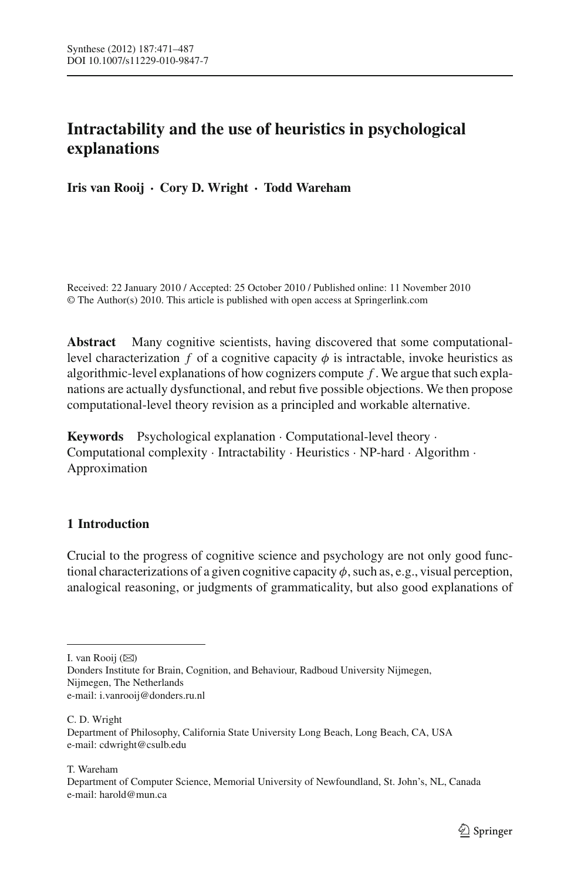# **Intractability and the use of heuristics in psychological explanations**

**Iris van Rooij · Cory D. Wright · Todd Wareham**

Received: 22 January 2010 / Accepted: 25 October 2010 / Published online: 11 November 2010 © The Author(s) 2010. This article is published with open access at Springerlink.com

**Abstract** Many cognitive scientists, having discovered that some computationallevel characterization *f* of a cognitive capacity  $\phi$  is intractable, invoke heuristics as algorithmic-level explanations of how cognizers compute *f* . We argue that such explanations are actually dysfunctional, and rebut five possible objections. We then propose computational-level theory revision as a principled and workable alternative.

**Keywords** Psychological explanation · Computational-level theory · Computational complexity · Intractability · Heuristics · NP-hard · Algorithm · Approximation

## **1 Introduction**

Crucial to the progress of cognitive science and psychology are not only good functional characterizations of a given cognitive capacity  $\phi$ , such as, e.g., visual perception, analogical reasoning, or judgments of grammaticality, but also good explanations of

I. van Rooij  $(\boxtimes)$ 

Donders Institute for Brain, Cognition, and Behaviour, Radboud University Nijmegen, Nijmegen, The Netherlands e-mail: i.vanrooij@donders.ru.nl

C. D. Wright Department of Philosophy, California State University Long Beach, Long Beach, CA, USA e-mail: cdwright@csulb.edu

T. Wareham

Department of Computer Science, Memorial University of Newfoundland, St. John's, NL, Canada e-mail: harold@mun.ca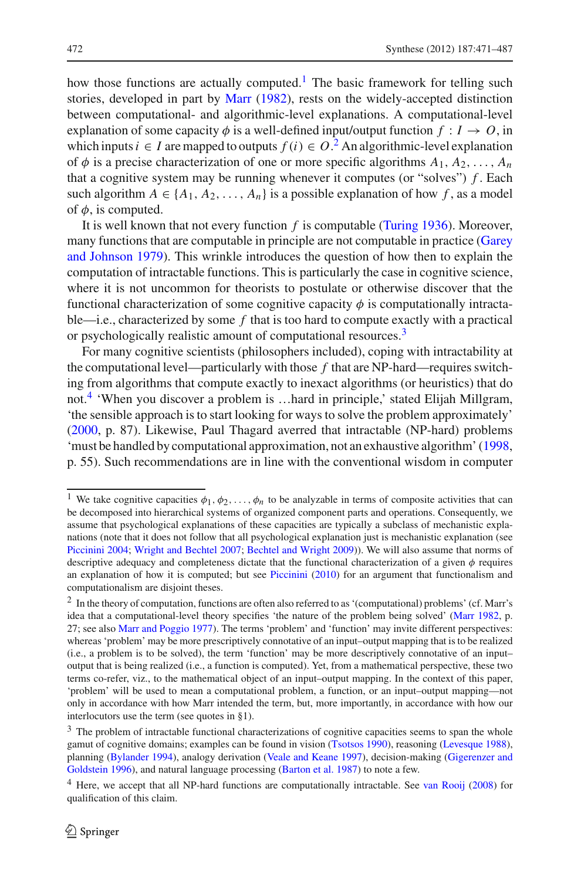how those functions are actually computed.<sup>1</sup> The basic framework for telling such stories, developed in part by [Marr](#page-15-0) [\(1982](#page-15-0)), rests on the widely-accepted distinction between computational- and algorithmic-level explanations. A computational-level explanation of some capacity  $\phi$  is a well-defined input/output function  $f: I \rightarrow O$ , in which inputs  $i \in I$  are mapped to outputs  $f(i) \in O^2$  $f(i) \in O^2$ . An algorithmic-level explanation of  $\phi$  is a precise characterization of one or more specific algorithms  $A_1, A_2, \ldots, A_n$ that a cognitive system may be running whenever it computes (or "solves") *f* . Each such algorithm  $A \in \{A_1, A_2, \ldots, A_n\}$  is a possible explanation of how f, as a model of  $\phi$ , is computed.

It is well known that not every function *f* is computable [\(Turing 1936\)](#page-16-0). Moreover, many functi[ons](#page-15-1) [that](#page-15-1) [are](#page-15-1) [computable](#page-15-1) [in](#page-15-1) [principle](#page-15-1) [are](#page-15-1) [not](#page-15-1) [computable](#page-15-1) [in](#page-15-1) [practice](#page-15-1) [\(](#page-15-1)Garey and Johnson [1979](#page-15-1)). This wrinkle introduces the question of how then to explain the computation of intractable functions. This is particularly the case in cognitive science, where it is not uncommon for theorists to postulate or otherwise discover that the functional characterization of some cognitive capacity  $\phi$  is computationally intractable—i.e., characterized by some *f* that is too hard to compute exactly with a practical or psychologically realistic amount of computational resources.<sup>[3](#page-1-2)</sup>

For many cognitive scientists (philosophers included), coping with intractability at the computational level—particularly with those *f* that are NP-hard—requires switching from algorithms that compute exactly to inexact algorithms (or heuristics) that do not.<sup>[4](#page-1-3)</sup> 'When you discover a problem is ...hard in principle,' stated Elijah Millgram, 'the sensible approach is to start looking for ways to solve the problem approximately' [\(2000,](#page-15-2) p. 87). Likewise, Paul Thagard averred that intractable (NP-hard) problems 'must be handled by computational approximation, not an exhaustive algorithm' [\(1998](#page-15-3), p. 55). Such recommendations are in line with the conventional wisdom in computer

<span id="page-1-0"></span><sup>&</sup>lt;sup>1</sup> We take cognitive capacities  $\phi_1, \phi_2, \ldots, \phi_n$  to be analyzable in terms of composite activities that can be decomposed into hierarchical systems of organized component parts and operations. Consequently, we assume that psychological explanations of these capacities are typically a subclass of mechanistic explanations (note that it does not follow that all psychological explanation just is mechanistic explanation (see [Piccinini 2004](#page-15-4); [Wright and Bechtel 2007;](#page-16-1) [Bechtel and Wright 2009\)](#page-15-5)). We will also assume that norms of descriptive adequacy and completeness dictate that the functional characterization of a given  $\phi$  requires an explanation of how it is computed; but see [Piccinini](#page-15-6) [\(2010](#page-15-6)) for an argument that functionalism and computationalism are disjoint theses.

<span id="page-1-1"></span> $2$  In the theory of computation, functions are often also referred to as '(computational) problems' (cf. Marr's idea that a computational-level theory specifies 'the nature of the problem being solved' [\(Marr 1982,](#page-15-0) p. 27; see also [Marr and Poggio 1977](#page-15-7)). The terms 'problem' and 'function' may invite different perspectives: whereas 'problem' may be more prescriptively connotative of an input–output mapping that is to be realized (i.e., a problem is to be solved), the term 'function' may be more descriptively connotative of an input– output that is being realized (i.e., a function is computed). Yet, from a mathematical perspective, these two terms co-refer, viz., to the mathematical object of an input–output mapping. In the context of this paper, 'problem' will be used to mean a computational problem, a function, or an input–output mapping—not only in accordance with how Marr intended the term, but, more importantly, in accordance with how our interlocutors use the term (see quotes in §1).

<span id="page-1-2"></span><sup>&</sup>lt;sup>3</sup> The problem of intractable functional characterizations of cognitive capacities seems to span the whole gamut of cognitive domains; examples can be found in vision [\(Tsotsos 1990](#page-16-2)), reasoning [\(Levesque 1988](#page-15-8)), planning [\(Bylander 1994](#page-15-9)[\),](#page-15-10) [analogy](#page-15-10) [derivation](#page-15-10) [\(Veale and Keane 1997](#page-16-3)[\),](#page-15-10) [decision-making](#page-15-10) [\(](#page-15-10)Gigerenzer and Goldstein [1996\)](#page-15-10), and natural language processing [\(Barton et al. 1987\)](#page-14-0) to note a few.

<span id="page-1-3"></span><sup>&</sup>lt;sup>4</sup> Here, we accept that all NP-hard functions are computationally intractable. See [van Rooij](#page-16-4) [\(2008](#page-16-4)) for qualification of this claim.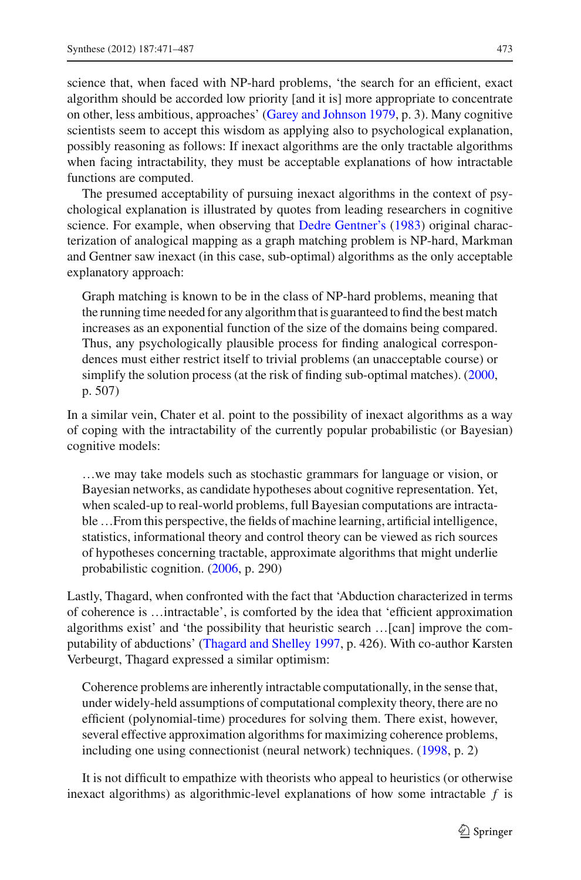science that, when faced with NP-hard problems, 'the search for an efficient, exact algorithm should be accorded low priority [and it is] more appropriate to concentrate on other, less ambitious, approaches' [\(Garey and Johnson 1979](#page-15-1), p. 3). Many cognitive scientists seem to accept this wisdom as applying also to psychological explanation, possibly reasoning as follows: If inexact algorithms are the only tractable algorithms when facing intractability, they must be acceptable explanations of how intractable functions are computed.

The presumed acceptability of pursuing inexact algorithms in the context of psychological explanation is illustrated by quotes from leading researchers in cognitive science. For example, when observing that [Dedre Gentner's](#page-15-11) [\(1983](#page-15-11)) original characterization of analogical mapping as a graph matching problem is NP-hard, Markman and Gentner saw inexact (in this case, sub-optimal) algorithms as the only acceptable explanatory approach:

Graph matching is known to be in the class of NP-hard problems, meaning that the running time needed for any algorithm that is guaranteed to find the best match increases as an exponential function of the size of the domains being compared. Thus, any psychologically plausible process for finding analogical correspondences must either restrict itself to trivial problems (an unacceptable course) or simplify the solution process (at the risk of finding sub-optimal matches). [\(2000](#page-15-12), p. 507)

In a similar vein, Chater et al. point to the possibility of inexact algorithms as a way of coping with the intractability of the currently popular probabilistic (or Bayesian) cognitive models:

…we may take models such as stochastic grammars for language or vision, or Bayesian networks, as candidate hypotheses about cognitive representation. Yet, when scaled-up to real-world problems, full Bayesian computations are intractable…From this perspective, the fields of machine learning, artificial intelligence, statistics, informational theory and control theory can be viewed as rich sources of hypotheses concerning tractable, approximate algorithms that might underlie probabilistic cognition. [\(2006](#page-15-13), p. 290)

Lastly, Thagard, when confronted with the fact that 'Abduction characterized in terms of coherence is …intractable', is comforted by the idea that 'efficient approximation algorithms exist' and 'the possibility that heuristic search …[can] improve the computability of abductions' [\(Thagard and Shelley 1997,](#page-15-14) p. 426). With co-author Karsten Verbeurgt, Thagard expressed a similar optimism:

Coherence problems are inherently intractable computationally, in the sense that, under widely-held assumptions of computational complexity theory, there are no efficient (polynomial-time) procedures for solving them. There exist, however, several effective approximation algorithms for maximizing coherence problems, including one using connectionist (neural network) techniques. [\(1998,](#page-16-5) p. 2)

It is not difficult to empathize with theorists who appeal to heuristics (or otherwise inexact algorithms) as algorithmic-level explanations of how some intractable *f* is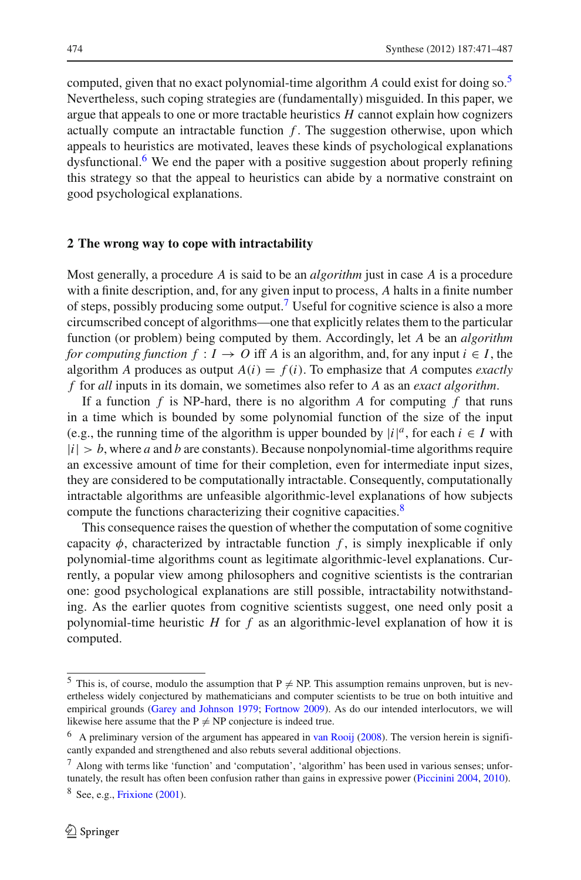computed, given that no exact polynomial-time algorithm *A* could exist for doing so[.5](#page-3-0) Nevertheless, such coping strategies are (fundamentally) misguided. In this paper, we argue that appeals to one or more tractable heuristics *H* cannot explain how cognizers actually compute an intractable function *f* . The suggestion otherwise, upon which appeals to heuristics are motivated, leaves these kinds of psychological explanations dysfunctional.<sup>6</sup> We end the paper with a positive suggestion about properly refining this strategy so that the appeal to heuristics can abide by a normative constraint on good psychological explanations.

#### **2 The wrong way to cope with intractability**

Most generally, a procedure *A* is said to be an *algorithm* just in case *A* is a procedure with a finite description, and, for any given input to process, *A* halts in a finite number of steps, possibly producing some output.<sup>7</sup> Useful for cognitive science is also a more circumscribed concept of algorithms—one that explicitly relates them to the particular function (or problem) being computed by them. Accordingly, let *A* be an *algorithm for computing function*  $f: I \to O$  iff *A* is an algorithm, and, for any input  $i \in I$ , the algorithm *A* produces as output  $A(i) = f(i)$ . To emphasize that *A* computes *exactly f* for *all* inputs in its domain, we sometimes also refer to *A* as an *exact algorithm*.

If a function *f* is NP-hard, there is no algorithm *A* for computing *f* that runs in a time which is bounded by some polynomial function of the size of the input (e.g., the running time of the algorithm is upper bounded by  $|i|^a$ , for each  $i \in I$  with  $|i| > b$ , where *a* and *b* are constants). Because nonpolynomial-time algorithms require an excessive amount of time for their completion, even for intermediate input sizes, they are considered to be computationally intractable. Consequently, computationally intractable algorithms are unfeasible algorithmic-level explanations of how subjects compute the functions characterizing their cognitive capacities.<sup>[8](#page-3-3)</sup>

This consequence raises the question of whether the computation of some cognitive capacity  $\phi$ , characterized by intractable function  $f$ , is simply inexplicable if only polynomial-time algorithms count as legitimate algorithmic-level explanations. Currently, a popular view among philosophers and cognitive scientists is the contrarian one: good psychological explanations are still possible, intractability notwithstanding. As the earlier quotes from cognitive scientists suggest, one need only posit a polynomial-time heuristic *H* for *f* as an algorithmic-level explanation of how it is computed.

<span id="page-3-0"></span><sup>&</sup>lt;sup>5</sup> This is, of course, modulo the assumption that  $P \neq NP$ . This assumption remains unproven, but is nevertheless widely conjectured by mathematicians and computer scientists to be true on both intuitive and empirical grounds [\(Garey and Johnson 1979;](#page-15-1) [Fortnow 2009\)](#page-15-15). As do our intended interlocutors, we will likewise here assume that the  $P \neq NP$  conjecture is indeed true.

<span id="page-3-1"></span> $<sup>6</sup>$  A preliminary version of the argument has appeared in [van Rooij](#page-16-4) [\(2008\)](#page-16-4). The version herein is signifi-</sup> cantly expanded and strengthened and also rebuts several additional objections.

<span id="page-3-3"></span><span id="page-3-2"></span> $<sup>7</sup>$  Along with terms like 'function' and 'computation', 'algorithm' has been used in various senses; unfor-</sup> tunately, the result has often been confusion rather than gains in expressive power [\(Piccinini 2004,](#page-15-4) [2010\)](#page-15-6). <sup>8</sup> See, e.g., [Frixione](#page-15-16) [\(2001](#page-15-16)).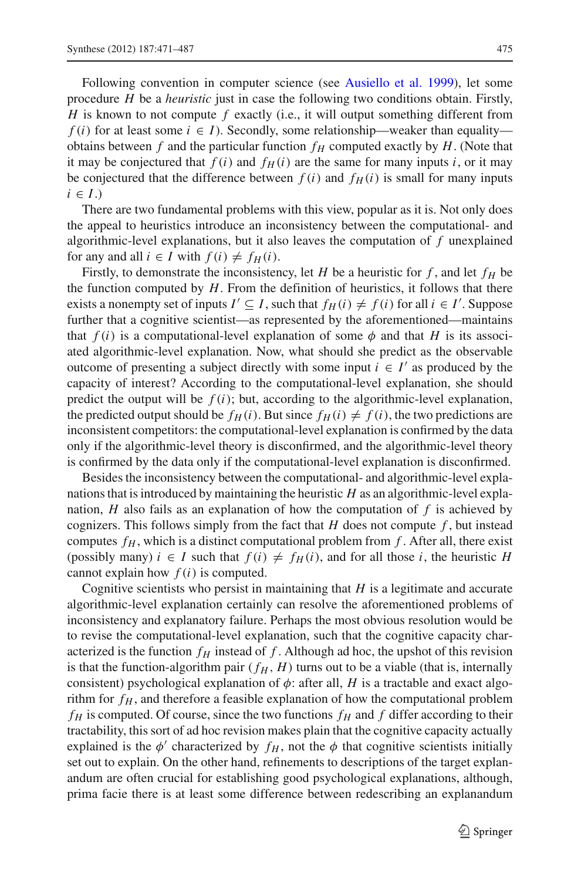Following convention in computer science (see [Ausiello et al. 1999](#page-14-1)), let some procedure *H* be a *heuristic* just in case the following two conditions obtain. Firstly, *H* is known to not compute *f* exactly (i.e., it will output something different from *f* (*i*) for at least some  $i \in I$ ). Secondly, some relationship—weaker than equality obtains between  $f$  and the particular function  $f_H$  computed exactly by  $H$ . (Note that it may be conjectured that  $f(i)$  and  $f_H(i)$  are the same for many inputs *i*, or it may be conjectured that the difference between  $f(i)$  and  $f<sub>H</sub>(i)$  is small for many inputs  $i \in I$ .)

There are two fundamental problems with this view, popular as it is. Not only does the appeal to heuristics introduce an inconsistency between the computational- and algorithmic-level explanations, but it also leaves the computation of *f* unexplained for any and all  $i \in I$  with  $f(i) \neq f_H(i)$ .

Firstly, to demonstrate the inconsistency, let *H* be a heuristic for  $f$ , and let  $f_H$  be the function computed by  $H$ . From the definition of heuristics, it follows that there exists a nonempty set of inputs  $I' \subseteq I$ , such that  $f_H(i) \neq f(i)$  for all  $i \in I'$ . Suppose further that a cognitive scientist—as represented by the aforementioned—maintains that  $f(i)$  is a computational-level explanation of some  $\phi$  and that *H* is its associated algorithmic-level explanation. Now, what should she predict as the observable outcome of presenting a subject directly with some input  $i \in I'$  as produced by the capacity of interest? According to the computational-level explanation, she should predict the output will be  $f(i)$ ; but, according to the algorithmic-level explanation, the predicted output should be  $f_H(i)$ . But since  $f_H(i) \neq f(i)$ , the two predictions are inconsistent competitors: the computational-level explanation is confirmed by the data only if the algorithmic-level theory is disconfirmed, and the algorithmic-level theory is confirmed by the data only if the computational-level explanation is disconfirmed.

Besides the inconsistency between the computational- and algorithmic-level explanations that is introduced by maintaining the heuristic *H* as an algorithmic-level explanation, *H* also fails as an explanation of how the computation of *f* is achieved by cognizers. This follows simply from the fact that  $H$  does not compute  $f$ , but instead computes  $f_H$ , which is a distinct computational problem from  $f$ . After all, there exist (possibly many)  $i \in I$  such that  $f(i) \neq f_H(i)$ , and for all those *i*, the heuristic *H* cannot explain how  $f(i)$  is computed.

Cognitive scientists who persist in maintaining that *H* is a legitimate and accurate algorithmic-level explanation certainly can resolve the aforementioned problems of inconsistency and explanatory failure. Perhaps the most obvious resolution would be to revise the computational-level explanation, such that the cognitive capacity characterized is the function  $f_H$  instead of  $f$ . Although ad hoc, the upshot of this revision is that the function-algorithm pair  $(f_H, H)$  turns out to be a viable (that is, internally consistent) psychological explanation of  $\phi$ : after all, *H* is a tractable and exact algorithm for  $f_H$ , and therefore a feasible explanation of how the computational problem  $f_H$  is computed. Of course, since the two functions  $f_H$  and  $f$  differ according to their tractability, this sort of ad hoc revision makes plain that the cognitive capacity actually explained is the  $\phi'$  characterized by  $f_H$ , not the  $\phi$  that cognitive scientists initially set out to explain. On the other hand, refinements to descriptions of the target explanandum are often crucial for establishing good psychological explanations, although, prima facie there is at least some difference between redescribing an explanandum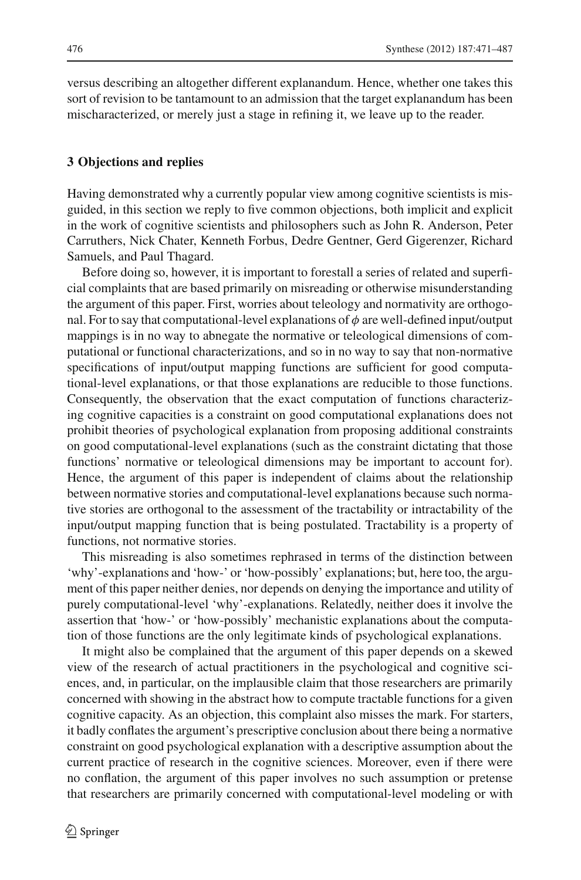versus describing an altogether different explanandum. Hence, whether one takes this sort of revision to be tantamount to an admission that the target explanandum has been mischaracterized, or merely just a stage in refining it, we leave up to the reader.

#### **3 Objections and replies**

Having demonstrated why a currently popular view among cognitive scientists is misguided, in this section we reply to five common objections, both implicit and explicit in the work of cognitive scientists and philosophers such as John R. Anderson, Peter Carruthers, Nick Chater, Kenneth Forbus, Dedre Gentner, Gerd Gigerenzer, Richard Samuels, and Paul Thagard.

Before doing so, however, it is important to forestall a series of related and superficial complaints that are based primarily on misreading or otherwise misunderstanding the argument of this paper. First, worries about teleology and normativity are orthogonal. For to say that computational-level explanations of  $\phi$  are well-defined input/output mappings is in no way to abnegate the normative or teleological dimensions of computational or functional characterizations, and so in no way to say that non-normative specifications of input/output mapping functions are sufficient for good computational-level explanations, or that those explanations are reducible to those functions. Consequently, the observation that the exact computation of functions characterizing cognitive capacities is a constraint on good computational explanations does not prohibit theories of psychological explanation from proposing additional constraints on good computational-level explanations (such as the constraint dictating that those functions' normative or teleological dimensions may be important to account for). Hence, the argument of this paper is independent of claims about the relationship between normative stories and computational-level explanations because such normative stories are orthogonal to the assessment of the tractability or intractability of the input/output mapping function that is being postulated. Tractability is a property of functions, not normative stories.

This misreading is also sometimes rephrased in terms of the distinction between 'why'-explanations and 'how-' or 'how-possibly' explanations; but, here too, the argument of this paper neither denies, nor depends on denying the importance and utility of purely computational-level 'why'-explanations. Relatedly, neither does it involve the assertion that 'how-' or 'how-possibly' mechanistic explanations about the computation of those functions are the only legitimate kinds of psychological explanations.

It might also be complained that the argument of this paper depends on a skewed view of the research of actual practitioners in the psychological and cognitive sciences, and, in particular, on the implausible claim that those researchers are primarily concerned with showing in the abstract how to compute tractable functions for a given cognitive capacity. As an objection, this complaint also misses the mark. For starters, it badly conflates the argument's prescriptive conclusion about there being a normative constraint on good psychological explanation with a descriptive assumption about the current practice of research in the cognitive sciences. Moreover, even if there were no conflation, the argument of this paper involves no such assumption or pretense that researchers are primarily concerned with computational-level modeling or with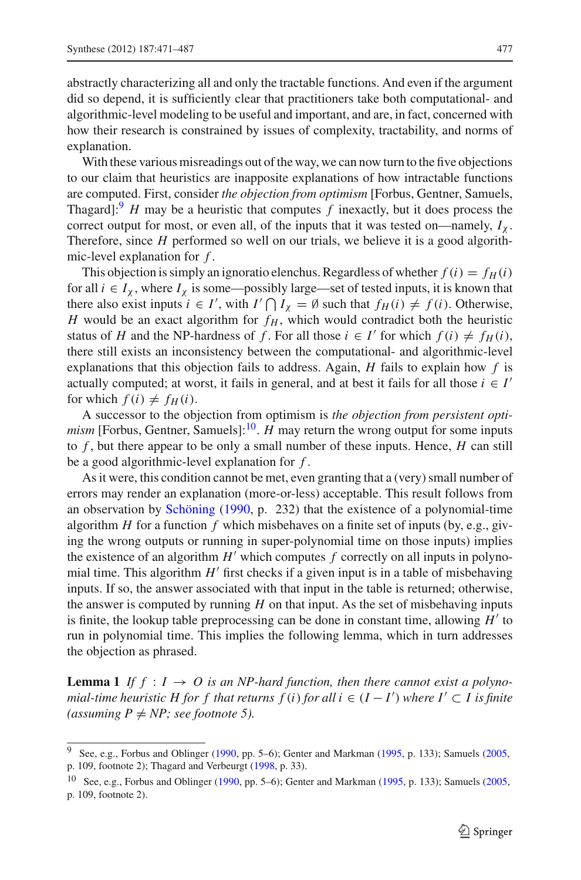abstractly characterizing all and only the tractable functions. And even if the argument did so depend, it is sufficiently clear that practitioners take both computational- and algorithmic-level modeling to be useful and important, and are, in fact, concerned with how their research is constrained by issues of complexity, tractability, and norms of explanation.

With these various misreadings out of the way, we can now turn to the five objections to our claim that heuristics are inapposite explanations of how intractable functions are computed. First, consider *the objection from optimism* [Forbus, Gentner, Samuels, Thagard]:<sup>[9](#page-6-0)</sup> *H* may be a heuristic that computes  $f$  inexactly, but it does process the correct output for most, or even all, of the inputs that it was tested on—namely,  $I_{\gamma}$ . Therefore, since *H* performed so well on our trials, we believe it is a good algorithmic-level explanation for *f* .

This objection is simply an ignoratio elenchus. Regardless of whether  $f(i) = f_H(i)$ for all  $i \in I_{\chi}$ , where  $I_{\chi}$  is some—possibly large—set of tested inputs, it is known that there also exist inputs  $i \in I'$ , with  $I' \cap I_{\chi} = \emptyset$  such that  $f_H(i) \neq f(i)$ . Otherwise, *H* would be an exact algorithm for  $f_H$ , which would contradict both the heuristic status of *H* and the NP-hardness of *f*. For all those  $i \in I'$  for which  $f(i) \neq f_H(i)$ , there still exists an inconsistency between the computational- and algorithmic-level explanations that this objection fails to address. Again, *H* fails to explain how *f* is actually computed; at worst, it fails in general, and at best it fails for all those  $i \in I'$ for which  $f(i) \neq f_H(i)$ .

A successor to the objection from optimism is *the objection from persistent optimism* [Forbus, Gentner, Samuels]:<sup>10</sup>. *H* may return the wrong output for some inputs to *f* , but there appear to be only a small number of these inputs. Hence, *H* can still be a good algorithmic-level explanation for *f* .

As it were, this condition cannot be met, even granting that a (very) small number of errors may render an explanation (more-or-less) acceptable. This result follows from an observation by [Schöning](#page-15-17) [\(1990](#page-15-17), p. 232) that the existence of a polynomial-time algorithm  $H$  for a function  $f$  which misbehaves on a finite set of inputs (by, e.g., giving the wrong outputs or running in super-polynomial time on those inputs) implies the existence of an algorithm  $H'$  which computes  $f$  correctly on all inputs in polynomial time. This algorithm  $H'$  first checks if a given input is in a table of misbehaving inputs. If so, the answer associated with that input in the table is returned; otherwise, the answer is computed by running *H* on that input. As the set of misbehaving inputs is finite, the lookup table preprocessing can be done in constant time, allowing *H'* to run in polynomial time. This implies the following lemma, which in turn addresses the objection as phrased.

**Lemma 1** If  $f : I \rightarrow O$  is an NP-hard function, then there cannot exist a polyno*mial-time heuristic H for f that returns f (i) for all*  $i$  ∈  $(I - I')$  *where*  $I' ⊂ I$  *is finite (assuming P*  $\neq$  *NP; see footnote 5).* 

<span id="page-6-0"></span><sup>9</sup> See, e.g., Forbus and Oblinger [\(1990,](#page-15-18) pp. 5–6); Genter and Markman [\(1995](#page-15-19), p. 133); Samuels [\(2005,](#page-15-20) p. 109, footnote 2); Thagard and Verbeurgt [\(1998,](#page-16-5) p. 33).

<span id="page-6-1"></span><sup>&</sup>lt;sup>10</sup> See, e.g., Forbus and Oblinger [\(1990](#page-15-18), pp. 5–6); Genter and Markman [\(1995](#page-15-19), p. 133); Samuels [\(2005,](#page-15-20) p. 109, footnote 2).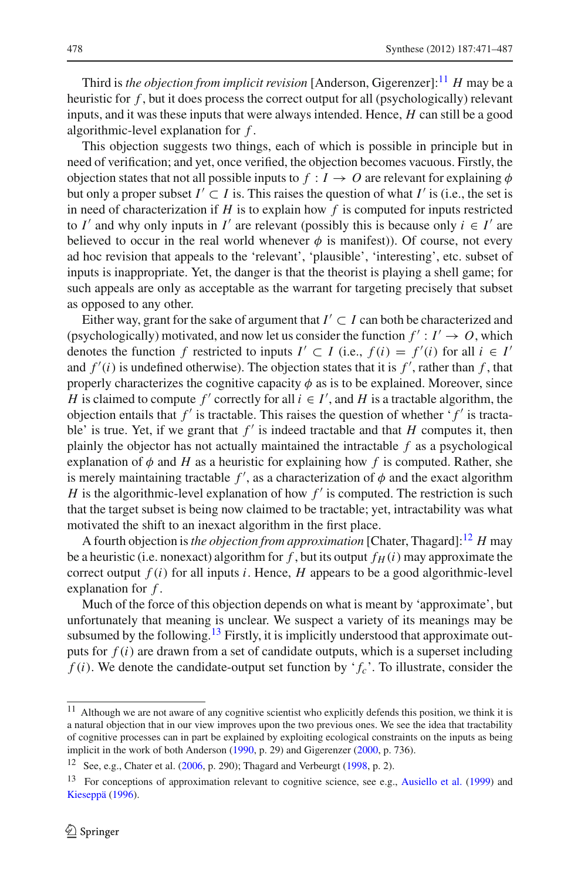Third is *the objection from implicit revision* [Anderson, Gigerenzer][:11](#page-7-0) *H* may be a heuristic for *f* , but it does process the correct output for all (psychologically) relevant inputs, and it was these inputs that were always intended. Hence, *H* can still be a good algorithmic-level explanation for *f* .

This objection suggests two things, each of which is possible in principle but in need of verification; and yet, once verified, the objection becomes vacuous. Firstly, the objection states that not all possible inputs to  $f: I \rightarrow O$  are relevant for explaining  $\phi$ but only a proper subset  $I' \subset I$  is. This raises the question of what  $I'$  is (i.e., the set is in need of characterization if  $H$  is to explain how  $f$  is computed for inputs restricted to *I'* and why only inputs in *I'* are relevant (possibly this is because only  $i \in I'$  are believed to occur in the real world whenever  $\phi$  is manifest)). Of course, not every ad hoc revision that appeals to the 'relevant', 'plausible', 'interesting', etc. subset of inputs is inappropriate. Yet, the danger is that the theorist is playing a shell game; for such appeals are only as acceptable as the warrant for targeting precisely that subset as opposed to any other.

Either way, grant for the sake of argument that  $I' \subset I$  can both be characterized and (psychologically) motivated, and now let us consider the function  $f' : I' \rightarrow O$ , which denotes the function *f* restricted to inputs  $I' \subset I$  (i.e.,  $f(i) = f'(i)$  for all  $i \in I'$ and  $f'(i)$  is undefined otherwise). The objection states that it is  $f'$ , rather than  $f$ , that properly characterizes the cognitive capacity  $\phi$  as is to be explained. Moreover, since *H* is claimed to compute  $f'$  correctly for all  $i \in I'$ , and *H* is a tractable algorithm, the objection entails that  $f'$  is tractable. This raises the question of whether  $f'$  is tractable' is true. Yet, if we grant that  $f'$  is indeed tractable and that  $H$  computes it, then plainly the objector has not actually maintained the intractable *f* as a psychological explanation of  $\phi$  and *H* as a heuristic for explaining how *f* is computed. Rather, she is merely maintaining tractable  $f'$ , as a characterization of  $\phi$  and the exact algorithm *H* is the algorithmic-level explanation of how  $f'$  is computed. The restriction is such that the target subset is being now claimed to be tractable; yet, intractability was what motivated the shift to an inexact algorithm in the first place.

A fourth objection is*the objection from approximation* [Chater, Thagard]:[12](#page-7-1) *H* may be a heuristic (i.e. nonexact) algorithm for  $f$ , but its output  $f_H(i)$  may approximate the correct output  $f(i)$  for all inputs *i*. Hence, *H* appears to be a good algorithmic-level explanation for *f* .

Much of the force of this objection depends on what is meant by 'approximate', but unfortunately that meaning is unclear. We suspect a variety of its meanings may be subsumed by the following.<sup>[13](#page-7-2)</sup> Firstly, it is implicitly understood that approximate outputs for *f* (*i*) are drawn from a set of candidate outputs, which is a superset including  $f(i)$ . We denote the candidate-output set function by  $f_c$ . To illustrate, consider the

<span id="page-7-0"></span> $11$  Although we are not aware of any cognitive scientist who explicitly defends this position, we think it is a natural objection that in our view improves upon the two previous ones. We see the idea that tractability of cognitive processes can in part be explained by exploiting ecological constraints on the inputs as being implicit in the work of both Anderson [\(1990](#page-14-2), p. 29) and Gigerenzer [\(2000](#page-16-6), p. 736).

<sup>&</sup>lt;sup>12</sup> See, e.g., Chater et al.  $(2006, p. 290)$  $(2006, p. 290)$ ; Thagard and Verbeurgt  $(1998, p. 2)$  $(1998, p. 2)$ .

<span id="page-7-2"></span><span id="page-7-1"></span><sup>&</sup>lt;sup>13</sup> For conceptions of approximation relevant to cognitive science, see e.g., [Ausiello et al.](#page-14-1) [\(1999](#page-14-1)) and [Kieseppä](#page-15-21) [\(1996\)](#page-15-21).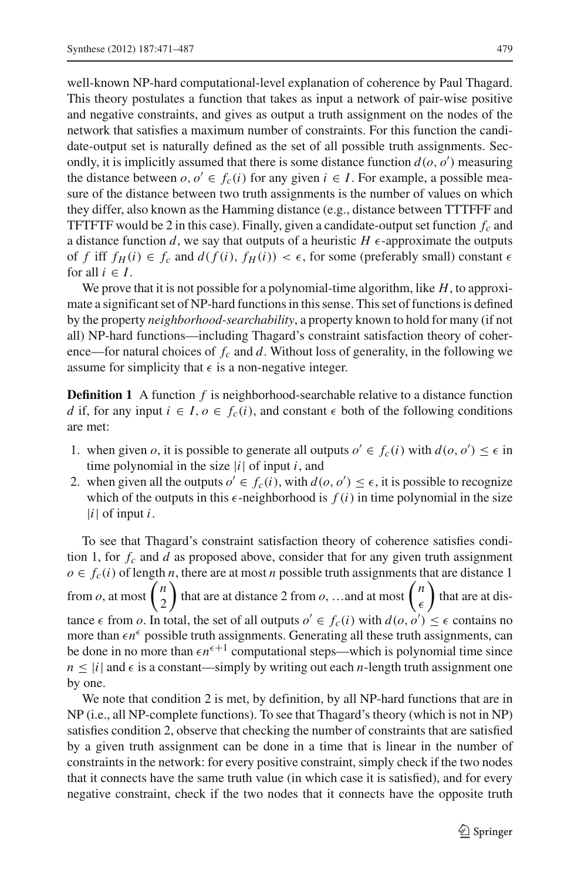well-known NP-hard computational-level explanation of coherence by Paul Thagard. This theory postulates a function that takes as input a network of pair-wise positive and negative constraints, and gives as output a truth assignment on the nodes of the network that satisfies a maximum number of constraints. For this function the candidate-output set is naturally defined as the set of all possible truth assignments. Secondly, it is implicitly assumed that there is some distance function  $d$  ( $o$ ,  $o'$ ) measuring the distance between  $o, o' \in f_c(i)$  for any given  $i \in I$ . For example, a possible measure of the distance between two truth assignments is the number of values on which they differ, also known as the Hamming distance (e.g., distance between TTTFFF and TFTFTF would be 2 in this case). Finally, given a candidate-output set function  $f_c$  and a distance function  $d$ , we say that outputs of a heuristic  $H \epsilon$ -approximate the outputs of *f* iff  $f_H(i) \in f_c$  and  $d(f(i), f_H(i)) < \epsilon$ , for some (preferably small) constant  $\epsilon$ for all  $i \in I$ .

We prove that it is not possible for a polynomial-time algorithm, like *H*, to approximate a significant set of NP-hard functions in this sense. This set of functions is defined by the property *neighborhood-searchability*, a property known to hold for many (if not all) NP-hard functions—including Thagard's constraint satisfaction theory of coherence—for natural choices of  $f_c$  and  $d$ . Without loss of generality, in the following we assume for simplicity that  $\epsilon$  is a non-negative integer.

<span id="page-8-0"></span>**Definition 1** A function *f* is neighborhood-searchable relative to a distance function *d* if, for any input  $i \in I$ ,  $o \in f_c(i)$ , and constant  $\epsilon$  both of the following conditions are met:

- 1. when given *o*, it is possible to generate all outputs  $o' \in f_c(i)$  with  $d(o, o') \leq \epsilon$  in time polynomial in the size |*i*| of input *i*, and
- 2. when given all the outputs  $o' \in f_c(i)$ , with  $d(o, o') \leq \epsilon$ , it is possible to recognize which of the outputs in this  $\epsilon$ -neighborhood is  $f(i)$  in time polynomial in the size |*i*| of input *i*.

To see that Thagard's constraint satisfaction theory of coherence satisfies condition 1, for  $f_c$  and *d* as proposed above, consider that for any given truth assignment  $o \in f_c(i)$  of length *n*, there are at most *n* possible truth assignments that are distance 1 from *o*, at most  $\binom{n}{2}$ that are at distance 2 from  $o$ , ... and at most  $\begin{pmatrix} n \\ \epsilon \end{pmatrix}$ that are at distance  $\epsilon$  from *o*. In total, the set of all outputs  $o' \in f_c(i)$  with  $d(o, o') \leq \epsilon$  contains no more than  $\epsilon n^{\epsilon}$  possible truth assignments. Generating all these truth assignments, can be done in no more than  $\epsilon n^{\epsilon+1}$  computational steps—which is polynomial time since  $n \leq |i|$  and  $\epsilon$  is a constant—simply by writing out each *n*-length truth assignment one by one.

We note that condition 2 is met, by definition, by all NP-hard functions that are in NP (i.e., all NP-complete functions). To see that Thagard's theory (which is not in NP) satisfies condition 2, observe that checking the number of constraints that are satisfied by a given truth assignment can be done in a time that is linear in the number of constraints in the network: for every positive constraint, simply check if the two nodes that it connects have the same truth value (in which case it is satisfied), and for every negative constraint, check if the two nodes that it connects have the opposite truth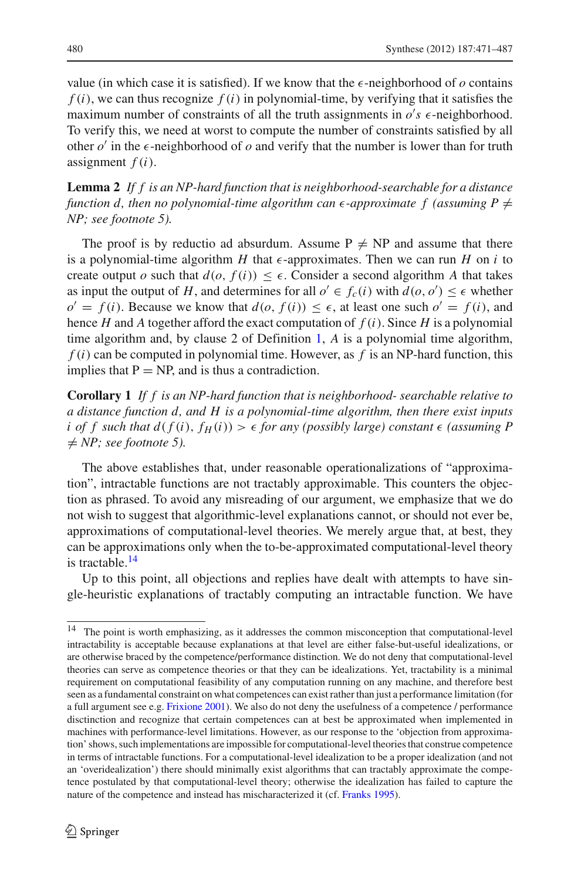value (in which case it is satisfied). If we know that the  $\epsilon$ -neighborhood of  $\rho$  contains  $f(i)$ , we can thus recognize  $f(i)$  in polynomial-time, by verifying that it satisfies the maximum number of constraints of all the truth assignments in  $o's \epsilon$ -neighborhood. To verify this, we need at worst to compute the number of constraints satisfied by all other  $o'$  in the  $\epsilon$ -neighborhood of  $o$  and verify that the number is lower than for truth assignment  $f(i)$ .

**Lemma 2** *If f is an NP-hard function that is neighborhood-searchable for a distance function d, then no polynomial-time algorithm can*  $\epsilon$ -*approximate f (assuming P*  $\neq$ *NP; see footnote 5).*

The proof is by reductio ad absurdum. Assume  $P \neq NP$  and assume that there is a polynomial-time algorithm *H* that  $\epsilon$ -approximates. Then we can run *H* on *i* to create output *o* such that  $d(o, f(i)) \leq \epsilon$ . Consider a second algorithm *A* that takes as input the output of *H*, and determines for all  $o' \in f_c(i)$  with  $d(o, o') \le \epsilon$  whether  $o' = f(i)$ . Because we know that  $d(o, f(i)) \leq \epsilon$ , at least one such  $o' = f(i)$ , and hence *H* and *A* together afford the exact computation of  $f(i)$ . Since *H* is a polynomial time algorithm and, by clause 2 of Definition [1,](#page-8-0) *A* is a polynomial time algorithm, *f* (*i*) can be computed in polynomial time. However, as *f* is an NP-hard function, this implies that  $P = NP$ , and is thus a contradiction.

**Corollary 1** *If f is an NP-hard function that is neighborhood- searchable relative to a distance function d, and H is a polynomial-time algorithm, then there exist inputs i* of f such that  $d(f(i), f_H(i)) > \epsilon$  for any (possibly large) constant  $\epsilon$  (assuming P  $\neq$  *NP*; see footnote 5).

The above establishes that, under reasonable operationalizations of "approximation", intractable functions are not tractably approximable. This counters the objection as phrased. To avoid any misreading of our argument, we emphasize that we do not wish to suggest that algorithmic-level explanations cannot, or should not ever be, approximations of computational-level theories. We merely argue that, at best, they can be approximations only when the to-be-approximated computational-level theory is tractable. $14$ 

Up to this point, all objections and replies have dealt with attempts to have single-heuristic explanations of tractably computing an intractable function. We have

<span id="page-9-0"></span><sup>&</sup>lt;sup>14</sup> The point is worth emphasizing, as it addresses the common misconception that computational-level intractability is acceptable because explanations at that level are either false-but-useful idealizations, or are otherwise braced by the competence/performance distinction. We do not deny that computational-level theories can serve as competence theories or that they can be idealizations. Yet, tractability is a minimal requirement on computational feasibility of any computation running on any machine, and therefore best seen as a fundamental constraint on what competences can exist rather than just a performance limitation (for a full argument see e.g. [Frixione 2001\)](#page-15-16). We also do not deny the usefulness of a competence / performance disctinction and recognize that certain competences can at best be approximated when implemented in machines with performance-level limitations. However, as our response to the 'objection from approximation' shows, such implementations are impossible for computational-level theories that construe competence in terms of intractable functions. For a computational-level idealization to be a proper idealization (and not an 'overidealization') there should minimally exist algorithms that can tractably approximate the competence postulated by that computational-level theory; otherwise the idealization has failed to capture the nature of the competence and instead has mischaracterized it (cf. [Franks 1995\)](#page-15-22).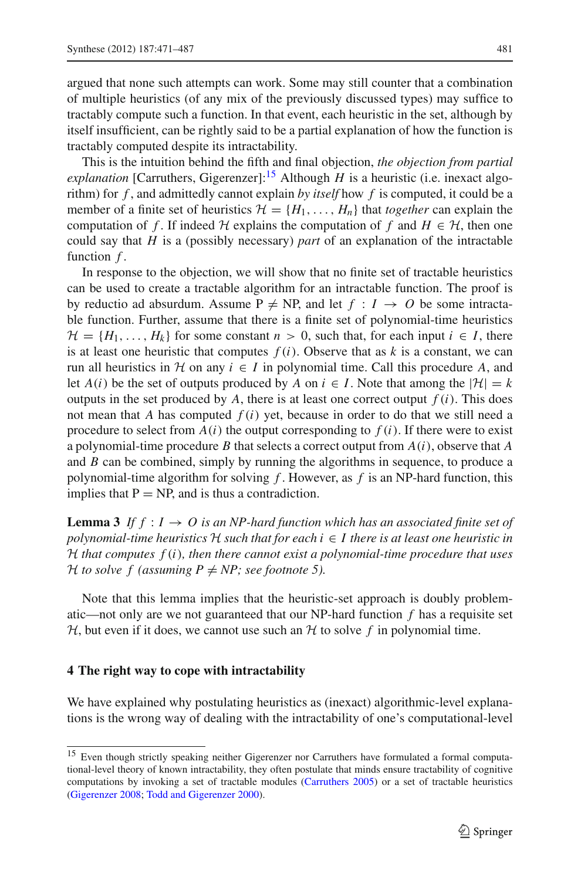argued that none such attempts can work. Some may still counter that a combination of multiple heuristics (of any mix of the previously discussed types) may suffice to tractably compute such a function. In that event, each heuristic in the set, although by itself insufficient, can be rightly said to be a partial explanation of how the function is tractably computed despite its intractability.

This is the intuition behind the fifth and final objection, *the objection from partial explanation* [Carruthers, Gigerenzer]:<sup>15</sup> Although *H* is a heuristic (i.e. inexact algorithm) for *f* , and admittedly cannot explain *by itself* how *f* is computed, it could be a member of a finite set of heuristics  $\mathcal{H} = \{H_1, \ldots, H_n\}$  that *together* can explain the computation of *f*. If indeed *H* explains the computation of *f* and  $H \in H$ , then one could say that *H* is a (possibly necessary) *part* of an explanation of the intractable function *f* .

In response to the objection, we will show that no finite set of tractable heuristics can be used to create a tractable algorithm for an intractable function. The proof is by reductio ad absurdum. Assume  $P \neq NP$ , and let  $f : I \rightarrow O$  be some intractable function. Further, assume that there is a finite set of polynomial-time heuristics  $\mathcal{H} = \{H_1, \ldots, H_k\}$  for some constant  $n > 0$ , such that, for each input  $i \in I$ , there is at least one heuristic that computes  $f(i)$ . Observe that as  $k$  is a constant, we can run all heuristics in  $H$  on any  $i \in I$  in polynomial time. Call this procedure A, and let  $A(i)$  be the set of outputs produced by  $A$  on  $i \in I$ . Note that among the  $|\mathcal{H}| = k$ outputs in the set produced by  $A$ , there is at least one correct output  $f(i)$ . This does not mean that *A* has computed  $f(i)$  yet, because in order to do that we still need a procedure to select from  $A(i)$  the output corresponding to  $f(i)$ . If there were to exist a polynomial-time procedure *B* that selects a correct output from *A*(*i*), observe that *A* and *B* can be combined, simply by running the algorithms in sequence, to produce a polynomial-time algorithm for solving *f* . However, as *f* is an NP-hard function, this implies that  $P = NP$ , and is thus a contradiction.

**Lemma 3** If  $f : I \to O$  is an NP-hard function which has an associated finite set of *polynomial-time heuristics*  $H$  *such that for each i*  $\in$  *I there is at least one heuristic in H that computes f* (*i*)*, then there cannot exist a polynomial-time procedure that uses H to solve f (assuming*  $P \neq NP$ *; see footnote 5).* 

Note that this lemma implies that the heuristic-set approach is doubly problematic—not only are we not guaranteed that our NP-hard function *f* has a requisite set *H*, but even if it does, we cannot use such an  $H$  to solve  $f$  in polynomial time.

#### **4 The right way to cope with intractability**

We have explained why postulating heuristics as (inexact) algorithmic-level explanations is the wrong way of dealing with the intractability of one's computational-level

<span id="page-10-0"></span><sup>&</sup>lt;sup>15</sup> Even though strictly speaking neither Gigerenzer nor Carruthers have formulated a formal computational-level theory of known intractability, they often postulate that minds ensure tractability of cognitive computations by invoking a set of tractable modules [\(Carruthers 2005](#page-15-23)) or a set of tractable heuristics [\(Gigerenzer 2008;](#page-15-24) [Todd and Gigerenzer 2000\)](#page-16-6).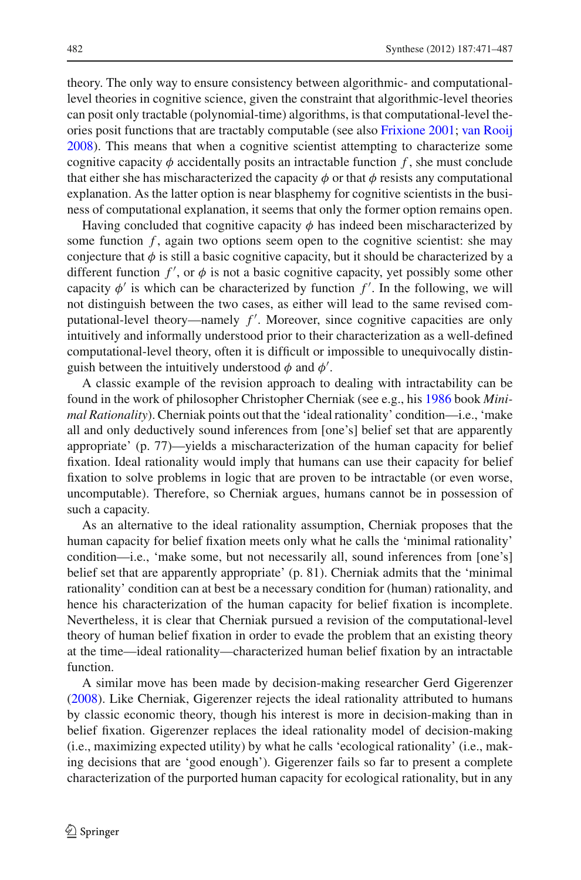theory. The only way to ensure consistency between algorithmic- and computationallevel theories in cognitive science, given the constraint that algorithmic-level theories can posit only tractable (polynomial-time) algorithms, is that computational-level theories posit functions that are tractably computable (see also [Frixione 2001](#page-15-16); [van Rooij](#page-16-4) [2008\)](#page-16-4). This means that when a cognitive scientist attempting to characterize some cognitive capacity  $\phi$  accidentally posits an intractable function  $f$ , she must conclude that either she has mischaracterized the capacity  $\phi$  or that  $\phi$  resists any computational explanation. As the latter option is near blasphemy for cognitive scientists in the business of computational explanation, it seems that only the former option remains open.

Having concluded that cognitive capacity  $\phi$  has indeed been mischaracterized by some function  $f$ , again two options seem open to the cognitive scientist: she may conjecture that  $\phi$  is still a basic cognitive capacity, but it should be characterized by a different function  $f'$ , or  $\phi$  is not a basic cognitive capacity, yet possibly some other capacity  $\phi'$  is which can be characterized by function  $f'$ . In the following, we will not distinguish between the two cases, as either will lead to the same revised computational-level theory—namely f'. Moreover, since cognitive capacities are only intuitively and informally understood prior to their characterization as a well-defined computational-level theory, often it is difficult or impossible to unequivocally distinguish between the intuitively understood  $\phi$  and  $\phi'$ .

A classic example of the revision approach to dealing with intractability can be found in the work of philosopher Christopher Cherniak (see e.g., his [1986](#page-15-25) book *Minimal Rationality*). Cherniak points out that the 'ideal rationality' condition—i.e., 'make all and only deductively sound inferences from [one's] belief set that are apparently appropriate' (p. 77)—yields a mischaracterization of the human capacity for belief fixation. Ideal rationality would imply that humans can use their capacity for belief fixation to solve problems in logic that are proven to be intractable (or even worse, uncomputable). Therefore, so Cherniak argues, humans cannot be in possession of such a capacity.

As an alternative to the ideal rationality assumption, Cherniak proposes that the human capacity for belief fixation meets only what he calls the 'minimal rationality' condition—i.e., 'make some, but not necessarily all, sound inferences from [one's] belief set that are apparently appropriate' (p. 81). Cherniak admits that the 'minimal rationality' condition can at best be a necessary condition for (human) rationality, and hence his characterization of the human capacity for belief fixation is incomplete. Nevertheless, it is clear that Cherniak pursued a revision of the computational-level theory of human belief fixation in order to evade the problem that an existing theory at the time—ideal rationality—characterized human belief fixation by an intractable function.

A similar move has been made by decision-making researcher Gerd Gigerenzer [\(2008\)](#page-15-24). Like Cherniak, Gigerenzer rejects the ideal rationality attributed to humans by classic economic theory, though his interest is more in decision-making than in belief fixation. Gigerenzer replaces the ideal rationality model of decision-making (i.e., maximizing expected utility) by what he calls 'ecological rationality' (i.e., making decisions that are 'good enough'). Gigerenzer fails so far to present a complete characterization of the purported human capacity for ecological rationality, but in any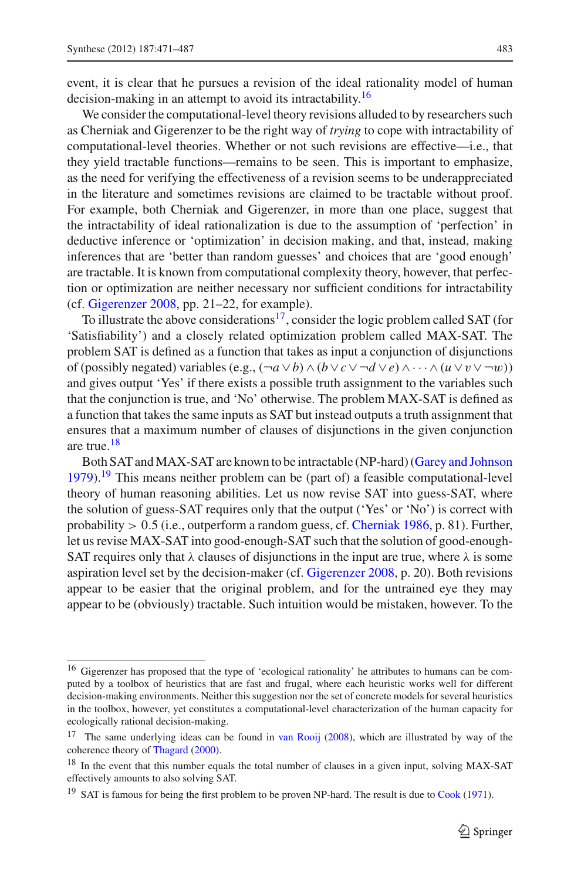event, it is clear that he pursues a revision of the ideal rationality model of human decision-making in an attempt to avoid its intractability.<sup>[16](#page-12-0)</sup>

We consider the computational-level theory revisions alluded to by researchers such as Cherniak and Gigerenzer to be the right way of *trying* to cope with intractability of computational-level theories. Whether or not such revisions are effective—i.e., that they yield tractable functions—remains to be seen. This is important to emphasize, as the need for verifying the effectiveness of a revision seems to be underappreciated in the literature and sometimes revisions are claimed to be tractable without proof. For example, both Cherniak and Gigerenzer, in more than one place, suggest that the intractability of ideal rationalization is due to the assumption of 'perfection' in deductive inference or 'optimization' in decision making, and that, instead, making inferences that are 'better than random guesses' and choices that are 'good enough' are tractable. It is known from computational complexity theory, however, that perfection or optimization are neither necessary nor sufficient conditions for intractability (cf. [Gigerenzer 2008](#page-15-24), pp. 21–22, for example).

To illustrate the above considerations<sup>[17](#page-12-1)</sup>, consider the logic problem called SAT (for 'Satisfiability') and a closely related optimization problem called MAX-SAT. The problem SAT is defined as a function that takes as input a conjunction of disjunctions of (possibly negated) variables (e.g.,  $(\neg a \lor b) \land (b \lor c \lor \neg d \lor e) \land \cdots \land (u \lor v \lor \neg w)$ ) and gives output 'Yes' if there exists a possible truth assignment to the variables such that the conjunction is true, and 'No' otherwise. The problem MAX-SAT is defined as a function that takes the same inputs as SAT but instead outputs a truth assignment that ensures that a maximum number of clauses of disjunctions in the given conjunction are true.[18](#page-12-2)

Both SAT andMAX-SAT are known to be intractable (NP-hard) [\(Garey and Johnson](#page-15-1) [1979\)](#page-15-1).<sup>[19](#page-12-3)</sup> This means neither problem can be (part of) a feasible computational-level theory of human reasoning abilities. Let us now revise SAT into guess-SAT, where the solution of guess-SAT requires only that the output ('Yes' or 'No') is correct with probability  $> 0.5$  (i.e., outperform a random guess, cf. [Cherniak 1986,](#page-15-25) p. 81). Further, let us revise MAX-SAT into good-enough-SAT such that the solution of good-enough-SAT requires only that  $\lambda$  clauses of disjunctions in the input are true, where  $\lambda$  is some aspiration level set by the decision-maker (cf. [Gigerenzer 2008,](#page-15-24) p. 20). Both revisions appear to be easier that the original problem, and for the untrained eye they may appear to be (obviously) tractable. Such intuition would be mistaken, however. To the

<span id="page-12-0"></span><sup>16</sup> Gigerenzer has proposed that the type of 'ecological rationality' he attributes to humans can be computed by a toolbox of heuristics that are fast and frugal, where each heuristic works well for different decision-making environments. Neither this suggestion nor the set of concrete models for several heuristics in the toolbox, however, yet constitutes a computational-level characterization of the human capacity for ecologically rational decision-making.

<span id="page-12-1"></span><sup>&</sup>lt;sup>17</sup> The same underlying ideas can be found in [van Rooij](#page-16-4) [\(2008](#page-16-4)), which are illustrated by way of the coherence theory of [Thagard](#page-15-26) [\(2000](#page-15-26)).

<span id="page-12-2"></span><sup>&</sup>lt;sup>18</sup> In the event that this number equals the total number of clauses in a given input, solving MAX-SAT effectively amounts to also solving SAT.

<span id="page-12-3"></span><sup>&</sup>lt;sup>19</sup> SAT is famous for being the first problem to be proven NP-hard. The result is due to [Cook](#page-15-27) [\(1971](#page-15-27)).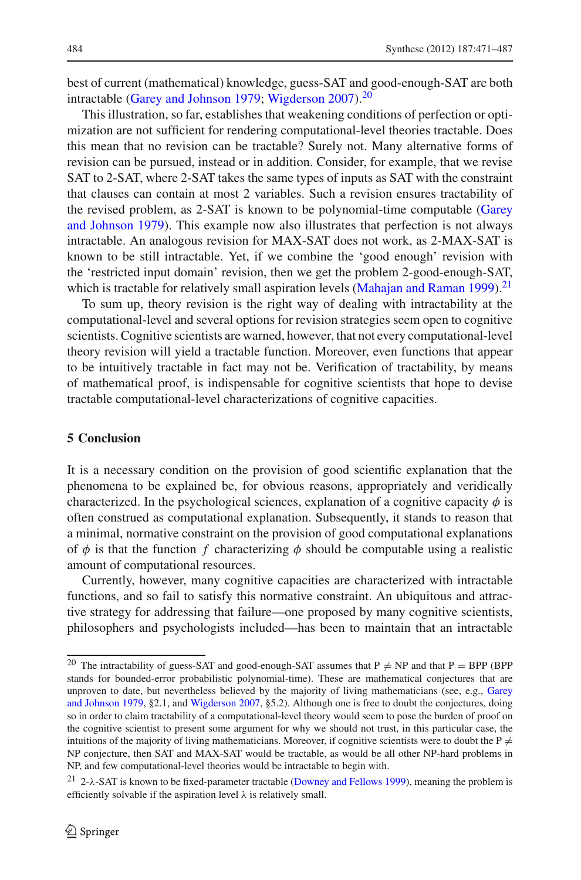best of current (mathematical) knowledge, guess-SAT and good-enough-SAT are both intractable [\(Garey and Johnson 1979](#page-15-1); [Wigderson 2007](#page-16-7)).<sup>[20](#page-13-0)</sup>

This illustration, so far, establishes that weakening conditions of perfection or optimization are not sufficient for rendering computational-level theories tractable. Does this mean that no revision can be tractable? Surely not. Many alternative forms of revision can be pursued, instead or in addition. Consider, for example, that we revise SAT to 2-SAT, where 2-SAT takes the same types of inputs as SAT with the constraint that clauses can contain at most 2 variables. Such a revision ensures tractability of the revised [problem,](#page-15-1) [as](#page-15-1) [2-SAT](#page-15-1) [is](#page-15-1) [known](#page-15-1) [to](#page-15-1) [be](#page-15-1) [polynomial-time](#page-15-1) [computable](#page-15-1) [\(](#page-15-1)Garey and Johnson [1979](#page-15-1)). This example now also illustrates that perfection is not always intractable. An analogous revision for MAX-SAT does not work, as 2-MAX-SAT is known to be still intractable. Yet, if we combine the 'good enough' revision with the 'restricted input domain' revision, then we get the problem 2-good-enough-SAT, which is tractable for relatively small aspiration levels [\(Mahajan and Raman 1999](#page-15-28)).<sup>[21](#page-13-1)</sup>

To sum up, theory revision is the right way of dealing with intractability at the computational-level and several options for revision strategies seem open to cognitive scientists. Cognitive scientists are warned, however, that not every computational-level theory revision will yield a tractable function. Moreover, even functions that appear to be intuitively tractable in fact may not be. Verification of tractability, by means of mathematical proof, is indispensable for cognitive scientists that hope to devise tractable computational-level characterizations of cognitive capacities.

### **5 Conclusion**

It is a necessary condition on the provision of good scientific explanation that the phenomena to be explained be, for obvious reasons, appropriately and veridically characterized. In the psychological sciences, explanation of a cognitive capacity  $\phi$  is often construed as computational explanation. Subsequently, it stands to reason that a minimal, normative constraint on the provision of good computational explanations of  $\phi$  is that the function *f* characterizing  $\phi$  should be computable using a realistic amount of computational resources.

Currently, however, many cognitive capacities are characterized with intractable functions, and so fail to satisfy this normative constraint. An ubiquitous and attractive strategy for addressing that failure—one proposed by many cognitive scientists, philosophers and psychologists included—has been to maintain that an intractable

<span id="page-13-0"></span><sup>&</sup>lt;sup>20</sup> The intractability of guess-SAT and good-enough-SAT assumes that  $P \neq NP$  and that  $P = BPP$  (BPP stands for bounded-error probabilistic polynomial-time). These are mathematical conjectures that are unproven to [date,](#page-15-1) [but](#page-15-1) [nevertheless](#page-15-1) [believed](#page-15-1) [by](#page-15-1) [the](#page-15-1) [majority](#page-15-1) [of](#page-15-1) [living](#page-15-1) [mathematicians](#page-15-1) [\(see,](#page-15-1) [e.g.,](#page-15-1) Garey and Johnson [1979](#page-15-1), §2.1, and [Wigderson 2007,](#page-16-7) §5.2). Although one is free to doubt the conjectures, doing so in order to claim tractability of a computational-level theory would seem to pose the burden of proof on the cognitive scientist to present some argument for why we should not trust, in this particular case, the intuitions of the majority of living mathematicians. Moreover, if cognitive scientists were to doubt the  $P \neq$ NP conjecture, then SAT and MAX-SAT would be tractable, as would be all other NP-hard problems in NP, and few computational-level theories would be intractable to begin with.

<span id="page-13-1"></span><sup>&</sup>lt;sup>21</sup> 2-λ-SAT is known to be fixed-parameter tractable [\(Downey and Fellows 1999](#page-15-29)), meaning the problem is efficiently solvable if the aspiration level  $\lambda$  is relatively small.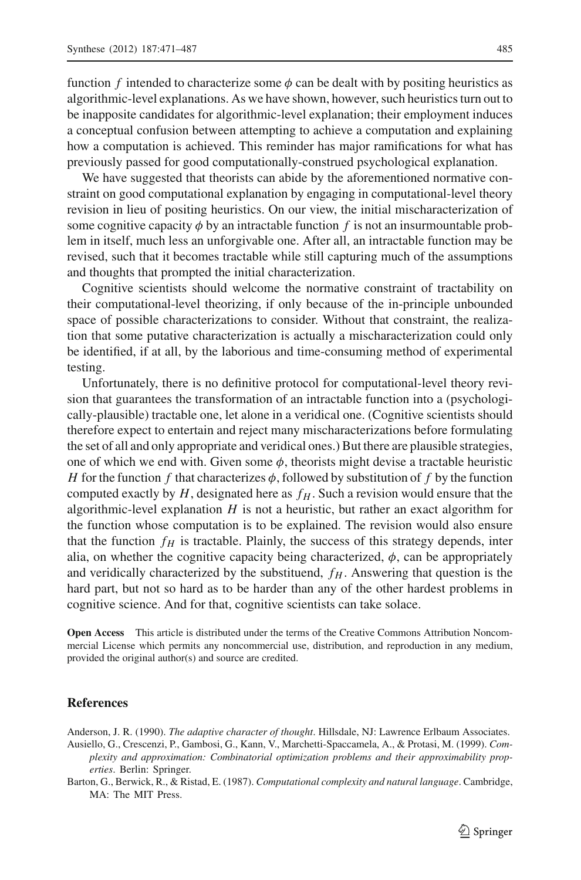function *f* intended to characterize some  $\phi$  can be dealt with by positing heuristics as algorithmic-level explanations. As we have shown, however, such heuristics turn out to be inapposite candidates for algorithmic-level explanation; their employment induces a conceptual confusion between attempting to achieve a computation and explaining how a computation is achieved. This reminder has major ramifications for what has previously passed for good computationally-construed psychological explanation.

We have suggested that theorists can abide by the aforementioned normative constraint on good computational explanation by engaging in computational-level theory revision in lieu of positing heuristics. On our view, the initial mischaracterization of some cognitive capacity  $\phi$  by an intractable function  $f$  is not an insurmountable problem in itself, much less an unforgivable one. After all, an intractable function may be revised, such that it becomes tractable while still capturing much of the assumptions and thoughts that prompted the initial characterization.

Cognitive scientists should welcome the normative constraint of tractability on their computational-level theorizing, if only because of the in-principle unbounded space of possible characterizations to consider. Without that constraint, the realization that some putative characterization is actually a mischaracterization could only be identified, if at all, by the laborious and time-consuming method of experimental testing.

Unfortunately, there is no definitive protocol for computational-level theory revision that guarantees the transformation of an intractable function into a (psychologically-plausible) tractable one, let alone in a veridical one. (Cognitive scientists should therefore expect to entertain and reject many mischaracterizations before formulating the set of all and only appropriate and veridical ones.) But there are plausible strategies, one of which we end with. Given some  $\phi$ , theorists might devise a tractable heuristic *H* for the function *f* that characterizes φ, followed by substitution of *f* by the function computed exactly by  $H$ , designated here as  $f_H$ . Such a revision would ensure that the algorithmic-level explanation *H* is not a heuristic, but rather an exact algorithm for the function whose computation is to be explained. The revision would also ensure that the function  $f_H$  is tractable. Plainly, the success of this strategy depends, inter alia, on whether the cognitive capacity being characterized,  $\phi$ , can be appropriately and veridically characterized by the substituend,  $f_H$ . Answering that question is the hard part, but not so hard as to be harder than any of the other hardest problems in cognitive science. And for that, cognitive scientists can take solace.

**Open Access** This article is distributed under the terms of the Creative Commons Attribution Noncommercial License which permits any noncommercial use, distribution, and reproduction in any medium, provided the original author(s) and source are credited.

#### **References**

<span id="page-14-2"></span>Anderson, J. R. (1990). *The adaptive character of thought*. Hillsdale, NJ: Lawrence Erlbaum Associates.

<span id="page-14-1"></span>Ausiello, G., Crescenzi, P., Gambosi, G., Kann, V., Marchetti-Spaccamela, A., & Protasi, M. (1999). *Complexity and approximation: Combinatorial optimization problems and their approximability properties*. Berlin: Springer.

<span id="page-14-0"></span>Barton, G., Berwick, R., & Ristad, E. (1987). *Computational complexity and natural language*. Cambridge, MA: The MIT Press.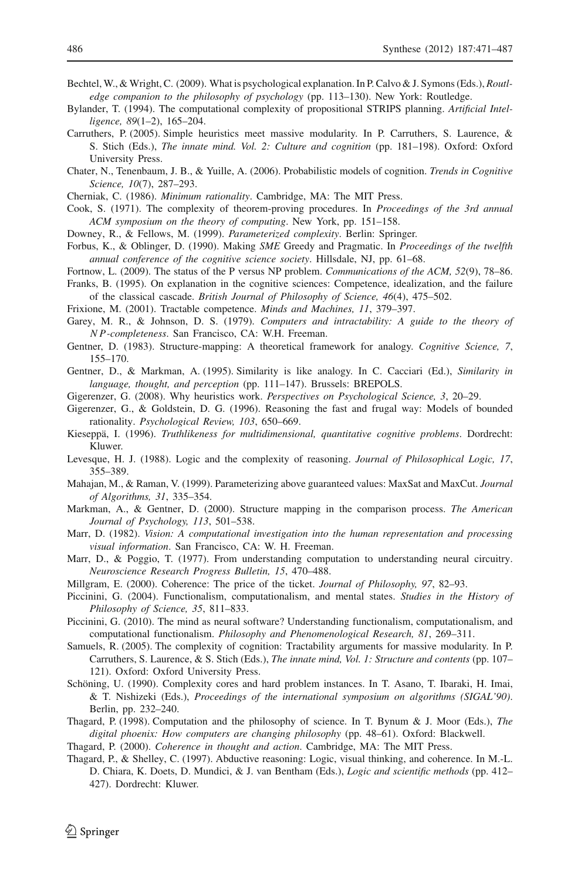- <span id="page-15-5"></span>Bechtel, W., & Wright, C. (2009). What is psychological explanation. In P. Calvo & J. Symons (Eds.), *Routledge companion to the philosophy of psychology* (pp. 113–130). New York: Routledge.
- <span id="page-15-9"></span>Bylander, T. (1994). The computational complexity of propositional STRIPS planning. *Artificial Intelligence, 89*(1–2), 165–204.
- <span id="page-15-23"></span>Carruthers, P. (2005). Simple heuristics meet massive modularity. In P. Carruthers, S. Laurence, & S. Stich (Eds.), *The innate mind. Vol. 2: Culture and cognition* (pp. 181–198). Oxford: Oxford University Press.
- <span id="page-15-13"></span>Chater, N., Tenenbaum, J. B., & Yuille, A. (2006). Probabilistic models of cognition. *Trends in Cognitive Science, 10*(7), 287–293.
- <span id="page-15-25"></span>Cherniak, C. (1986). *Minimum rationality*. Cambridge, MA: The MIT Press.
- <span id="page-15-27"></span>Cook, S. (1971). The complexity of theorem-proving procedures. In *Proceedings of the 3rd annual ACM symposium on the theory of computing*. New York, pp. 151–158.
- <span id="page-15-29"></span>Downey, R., & Fellows, M. (1999). *Parameterized complexity*. Berlin: Springer.
- <span id="page-15-18"></span>Forbus, K., & Oblinger, D. (1990). Making *SME* Greedy and Pragmatic. In *Proceedings of the twelfth annual conference of the cognitive science society*. Hillsdale, NJ, pp. 61–68.
- <span id="page-15-15"></span>Fortnow, L. (2009). The status of the P versus NP problem. *Communications of the ACM, 52*(9), 78–86.
- <span id="page-15-22"></span>Franks, B. (1995). On explanation in the cognitive sciences: Competence, idealization, and the failure of the classical cascade. *British Journal of Philosophy of Science, 46*(4), 475–502.
- <span id="page-15-16"></span>Frixione, M. (2001). Tractable competence. *Minds and Machines, 11*, 379–397.
- <span id="page-15-1"></span>Garey, M. R., & Johnson, D. S. (1979). *Computers and intractability: A guide to the theory of N P-completeness*. San Francisco, CA: W.H. Freeman.
- <span id="page-15-11"></span>Gentner, D. (1983). Structure-mapping: A theoretical framework for analogy. *Cognitive Science, 7*, 155–170.
- <span id="page-15-19"></span>Gentner, D., & Markman, A. (1995). Similarity is like analogy. In C. Cacciari (Ed.), *Similarity in language, thought, and perception* (pp. 111–147). Brussels: BREPOLS.
- Gigerenzer, G. (2008). Why heuristics work. *Perspectives on Psychological Science, 3*, 20–29.
- <span id="page-15-24"></span><span id="page-15-10"></span>Gigerenzer, G., & Goldstein, D. G. (1996). Reasoning the fast and frugal way: Models of bounded rationality. *Psychological Review, 103*, 650–669.
- <span id="page-15-21"></span>Kieseppä, I. (1996). *Truthlikeness for multidimensional, quantitative cognitive problems*. Dordrecht: Kluwer.
- <span id="page-15-8"></span>Levesque, H. J. (1988). Logic and the complexity of reasoning. *Journal of Philosophical Logic, 17*, 355–389.
- <span id="page-15-28"></span>Mahajan, M., & Raman, V. (1999). Parameterizing above guaranteed values: MaxSat and MaxCut. *Journal of Algorithms, 31*, 335–354.
- <span id="page-15-12"></span>Markman, A., & Gentner, D. (2000). Structure mapping in the comparison process. *The American Journal of Psychology, 113*, 501–538.
- <span id="page-15-0"></span>Marr, D. (1982). *Vision: A computational investigation into the human representation and processing visual information*. San Francisco, CA: W. H. Freeman.
- <span id="page-15-7"></span>Marr, D., & Poggio, T. (1977). From understanding computation to understanding neural circuitry. *Neuroscience Research Progress Bulletin, 15*, 470–488.
- <span id="page-15-2"></span>Millgram, E. (2000). Coherence: The price of the ticket. *Journal of Philosophy, 97*, 82–93.
- <span id="page-15-4"></span>Piccinini, G. (2004). Functionalism, computationalism, and mental states. *Studies in the History of Philosophy of Science, 35*, 811–833.
- <span id="page-15-6"></span>Piccinini, G. (2010). The mind as neural software? Understanding functionalism, computationalism, and computational functionalism. *Philosophy and Phenomenological Research, 81*, 269–311.
- <span id="page-15-20"></span>Samuels, R. (2005). The complexity of cognition: Tractability arguments for massive modularity. In P. Carruthers, S. Laurence, & S. Stich (Eds.), *The innate mind, Vol. 1: Structure and contents* (pp. 107– 121). Oxford: Oxford University Press.
- <span id="page-15-17"></span>Schöning, U. (1990). Complexity cores and hard problem instances. In T. Asano, T. Ibaraki, H. Imai, & T. Nishizeki (Eds.), *Proceedings of the international symposium on algorithms (SIGAL'90)*. Berlin, pp. 232–240.
- <span id="page-15-3"></span>Thagard, P. (1998). Computation and the philosophy of science. In T. Bynum & J. Moor (Eds.), *The digital phoenix: How computers are changing philosophy* (pp. 48–61). Oxford: Blackwell.
- <span id="page-15-26"></span>Thagard, P. (2000). *Coherence in thought and action*. Cambridge, MA: The MIT Press.
- <span id="page-15-14"></span>Thagard, P., & Shelley, C. (1997). Abductive reasoning: Logic, visual thinking, and coherence. In M.-L. D. Chiara, K. Doets, D. Mundici, & J. van Bentham (Eds.), *Logic and scientific methods* (pp. 412– 427). Dordrecht: Kluwer.